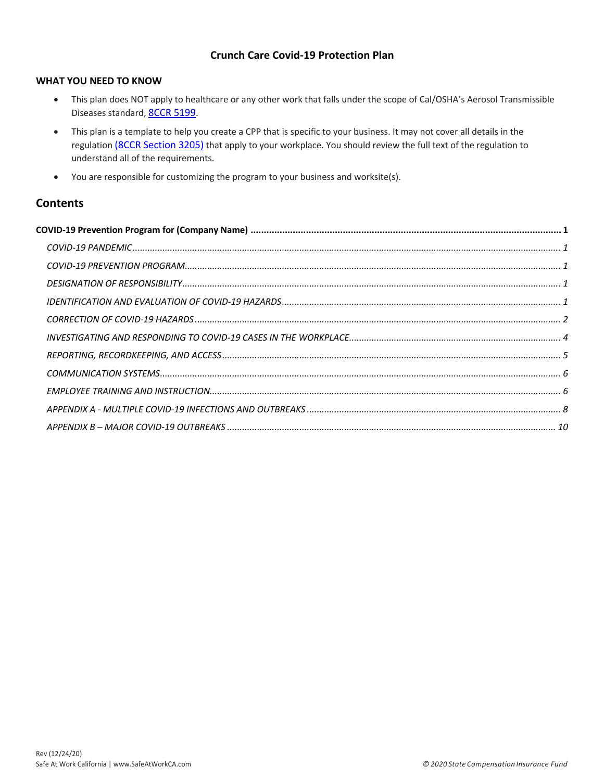## **Crunch Care Covid-19 Protection Plan**

#### **WHAT YOU NEED TO KNOW**

- This plan does NOT apply to healthcare or any other work that falls under the scope of Cal/OSHA's Aerosol Transmissible Diseases standard, 8CCR 5199.
- This plan is a template to help you create a CPP that is specific to your business. It may not cover all details in the regulation (8CCR Section 3205) that apply to your workplace. You should review the full text of the regulation to understand all of the requirements.
- You are responsible for customizing the program to your business and worksite(s).

## **Contents**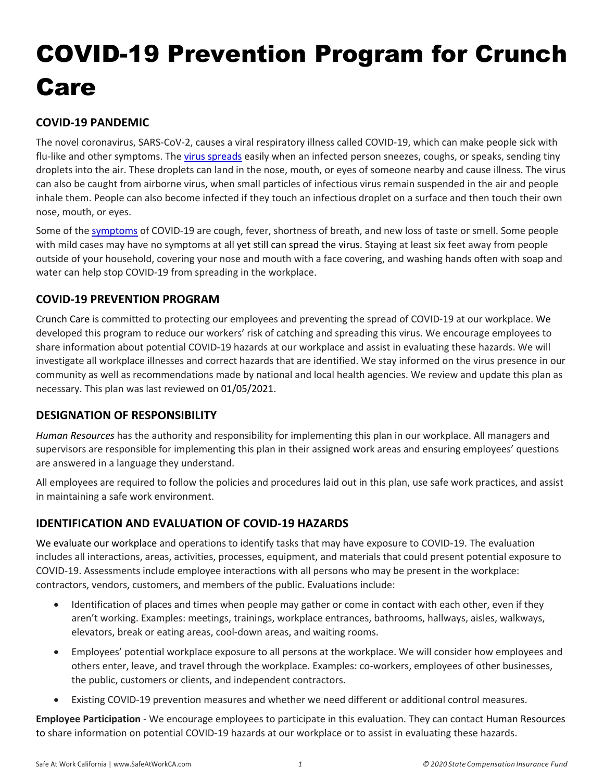# COVID-19 Prevention Program for Crunch Care

# **COVID-19 PANDEMIC**

The novel coronavirus, SARS-CoV-2, causes a viral respiratory illness called COVID-19, which can make people sick with flu-like and other symptoms. The virus spreads easily when an infected person sneezes, coughs, or speaks, sending tiny droplets into the air. These droplets can land in the nose, mouth, or eyes of someone nearby and cause illness. The virus can also be caught from airborne virus, when small particles of infectious virus remain suspended in the air and people inhale them. People can also become infected if they touch an infectious droplet on a surface and then touch their own nose, mouth, or eyes.

Some of the symptoms of COVID-19 are cough, fever, shortness of breath, and new loss of taste or smell. Some people with mild cases may have no symptoms at all yet still can spread the virus. Staying at least six feet away from people outside of your household, covering your nose and mouth with a face covering, and washing hands often with soap and water can help stop COVID-19 from spreading in the workplace.

# **COVID-19 PREVENTION PROGRAM**

Crunch Care is committed to protecting our employees and preventing the spread of COVID-19 at our workplace. We developed this program to reduce our workers' risk of catching and spreading this virus. We encourage employees to share information about potential COVID-19 hazards at our workplace and assist in evaluating these hazards. We will investigate all workplace illnesses and correct hazards that are identified. We stay informed on the virus presence in our community as well as recommendations made by national and local health agencies. We review and update this plan as necessary. This plan was last reviewed on 01/05/2021.

## **DESIGNATION OF RESPONSIBILITY**

*Human Resources* has the authority and responsibility for implementing this plan in our workplace. All managers and supervisors are responsible for implementing this plan in their assigned work areas and ensuring employees' questions are answered in a language they understand.

All employees are required to follow the policies and procedures laid out in this plan, use safe work practices, and assist in maintaining a safe work environment.

# **IDENTIFICATION AND EVALUATION OF COVID-19 HAZARDS**

We evaluate our workplace and operations to identify tasks that may have exposure to COVID-19. The evaluation includes all interactions, areas, activities, processes, equipment, and materials that could present potential exposure to COVID-19. Assessments include employee interactions with all persons who may be present in the workplace: contractors, vendors, customers, and members of the public. Evaluations include:

- Identification of places and times when people may gather or come in contact with each other, even if they aren't working. Examples: meetings, trainings, workplace entrances, bathrooms, hallways, aisles, walkways, elevators, break or eating areas, cool-down areas, and waiting rooms.
- Employees' potential workplace exposure to all persons at the workplace. We will consider how employees and others enter, leave, and travel through the workplace. Examples: co-workers, employees of other businesses, the public, customers or clients, and independent contractors.
- Existing COVID-19 prevention measures and whether we need different or additional control measures.

**Employee Participation** - We encourage employees to participate in this evaluation. They can contact Human Resources to share information on potential COVID-19 hazards at our workplace or to assist in evaluating these hazards.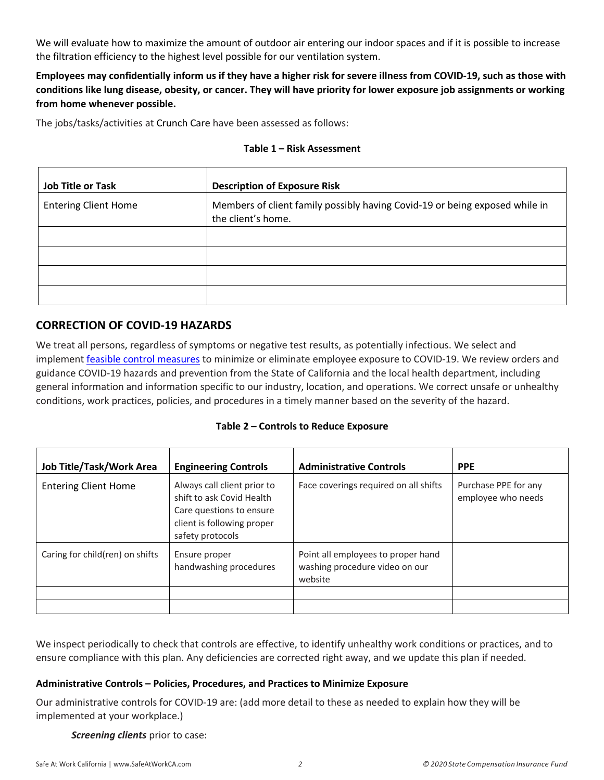We will evaluate how to maximize the amount of outdoor air entering our indoor spaces and if it is possible to increase the filtration efficiency to the highest level possible for our ventilation system.

**Employees may confidentially inform us if they have a higher risk for severe illness from COVID-19, such as those with conditions like lung disease, obesity, or cancer. They will have priority for lower exposure job assignments or working from home whenever possible.** 

The jobs/tasks/activities at Crunch Care have been assessed as follows:

#### **Table 1 – Risk Assessment**

| <b>Job Title or Task</b>    | <b>Description of Exposure Risk</b>                                                               |
|-----------------------------|---------------------------------------------------------------------------------------------------|
| <b>Entering Client Home</b> | Members of client family possibly having Covid-19 or being exposed while in<br>the client's home. |
|                             |                                                                                                   |
|                             |                                                                                                   |
|                             |                                                                                                   |
|                             |                                                                                                   |

## **CORRECTION OF COVID-19 HAZARDS**

We treat all persons, regardless of symptoms or negative test results, as potentially infectious. We select and implement feasible control measures to minimize or eliminate employee exposure to COVID-19. We review orders and guidance COVID-19 hazards and prevention from the State of California and the local health department, including general information and information specific to our industry, location, and operations. We correct unsafe or unhealthy conditions, work practices, policies, and procedures in a timely manner based on the severity of the hazard.

#### **Table 2 – Controls to Reduce Exposure**

| Job Title/Task/Work Area        | <b>Engineering Controls</b>                                                                                                            | <b>Administrative Controls</b>                                                  | <b>PPE</b>                                 |
|---------------------------------|----------------------------------------------------------------------------------------------------------------------------------------|---------------------------------------------------------------------------------|--------------------------------------------|
| <b>Entering Client Home</b>     | Always call client prior to<br>shift to ask Covid Health<br>Care questions to ensure<br>client is following proper<br>safety protocols | Face coverings required on all shifts                                           | Purchase PPE for any<br>employee who needs |
| Caring for child(ren) on shifts | Ensure proper<br>handwashing procedures                                                                                                | Point all employees to proper hand<br>washing procedure video on our<br>website |                                            |
|                                 |                                                                                                                                        |                                                                                 |                                            |
|                                 |                                                                                                                                        |                                                                                 |                                            |

We inspect periodically to check that controls are effective, to identify unhealthy work conditions or practices, and to ensure compliance with this plan. Any deficiencies are corrected right away, and we update this plan if needed.

#### **Administrative Controls – Policies, Procedures, and Practices to Minimize Exposure**

Our administrative controls for COVID-19 are: (add more detail to these as needed to explain how they will be implemented at your workplace.)

*Screening clients* prior to case: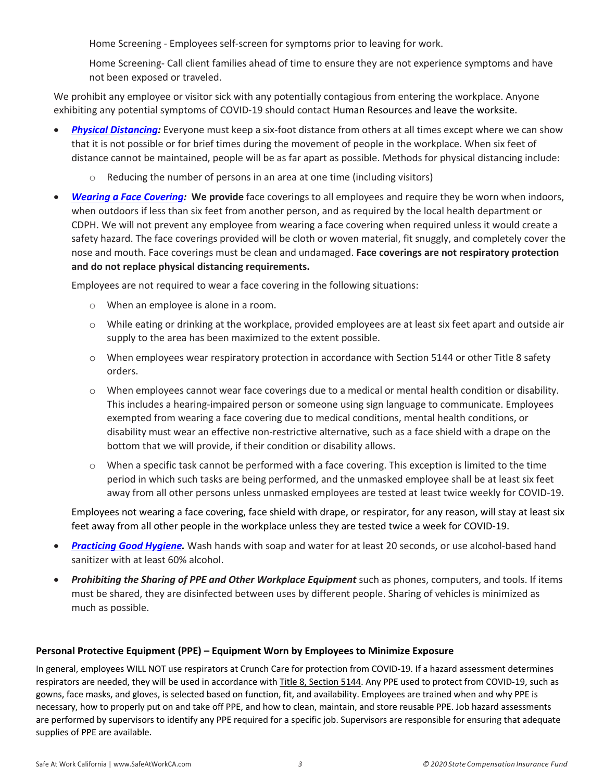Home Screening - Employees self-screen for symptoms prior to leaving for work.

 Home Screening- Call client families ahead of time to ensure they are not experience symptoms and have not been exposed or traveled.

We prohibit any employee or visitor sick with any potentially contagious from entering the workplace. Anyone exhibiting any potential symptoms of COVID-19 should contact Human Resources and leave the worksite.

- *Physical Distancing:* Everyone must keep a six-foot distance from others at all times except where we can show that it is not possible or for brief times during the movement of people in the workplace. When six feet of distance cannot be maintained, people will be as far apart as possible. Methods for physical distancing include:
	- $\circ$  Reducing the number of persons in an area at one time (including visitors)
- *Wearing a Face Covering:* **We provide** face coverings to all employees and require they be worn when indoors, when outdoors if less than six feet from another person, and as required by the local health department or CDPH. We will not prevent any employee from wearing a face covering when required unless it would create a safety hazard. The face coverings provided will be cloth or woven material, fit snuggly, and completely cover the nose and mouth. Face coverings must be clean and undamaged. **Face coverings are not respiratory protection and do not replace physical distancing requirements.**

Employees are not required to wear a face covering in the following situations:

- o When an employee is alone in a room.
- o While eating or drinking at the workplace, provided employees are at least six feet apart and outside air supply to the area has been maximized to the extent possible.
- o When employees wear respiratory protection in accordance with Section 5144 or other Title 8 safety orders.
- o When employees cannot wear face coverings due to a medical or mental health condition or disability. This includes a hearing-impaired person or someone using sign language to communicate. Employees exempted from wearing a face covering due to medical conditions, mental health conditions, or disability must wear an effective non-restrictive alternative, such as a face shield with a drape on the bottom that we will provide, if their condition or disability allows.
- o When a specific task cannot be performed with a face covering. This exception is limited to the time period in which such tasks are being performed, and the unmasked employee shall be at least six feet away from all other persons unless unmasked employees are tested at least twice weekly for COVID-19.

Employees not wearing a face covering, face shield with drape, or respirator, for any reason, will stay at least six feet away from all other people in the workplace unless they are tested twice a week for COVID-19.

- *Practicing Good Hygiene.* Wash hands with soap and water for at least 20 seconds, or use alcohol-based hand sanitizer with at least 60% alcohol.
- *Prohibiting the Sharing of PPE and Other Workplace Equipment* such as phones, computers, and tools. If items must be shared, they are disinfected between uses by different people. Sharing of vehicles is minimized as much as possible.

#### **Personal Protective Equipment (PPE) – Equipment Worn by Employees to Minimize Exposure**

In general, employees WILL NOT use respirators at Crunch Care for protection from COVID-19. If a hazard assessment determines respirators are needed, they will be used in accordance with Title 8, Section 5144. Any PPE used to protect from COVID-19, such as gowns, face masks, and gloves, is selected based on function, fit, and availability. Employees are trained when and why PPE is necessary, how to properly put on and take off PPE, and how to clean, maintain, and store reusable PPE. Job hazard assessments are performed by supervisors to identify any PPE required for a specific job. Supervisors are responsible for ensuring that adequate supplies of PPE are available.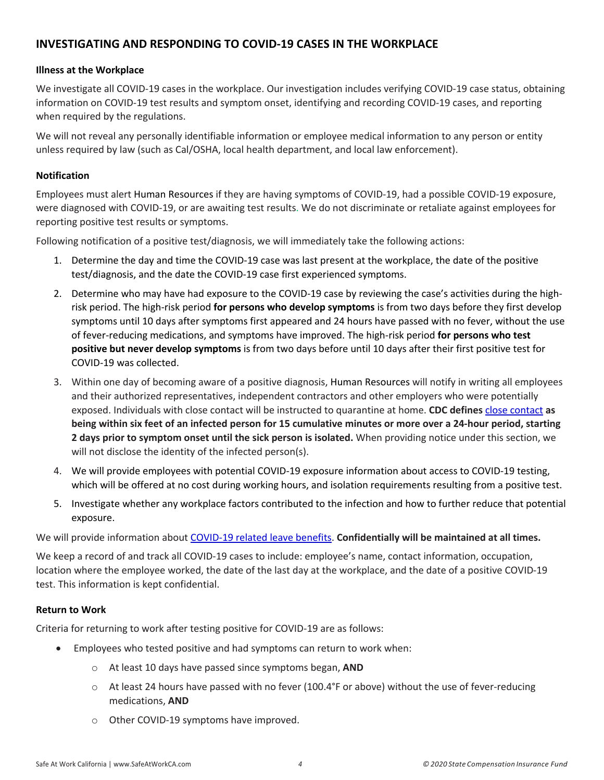## **INVESTIGATING AND RESPONDING TO COVID-19 CASES IN THE WORKPLACE**

#### **Illness at the Workplace**

We investigate all COVID-19 cases in the workplace. Our investigation includes verifying COVID-19 case status, obtaining information on COVID-19 test results and symptom onset, identifying and recording COVID-19 cases, and reporting when required by the regulations.

We will not reveal any personally identifiable information or employee medical information to any person or entity unless required by law (such as Cal/OSHA, local health department, and local law enforcement).

#### **Notification**

Employees must alert Human Resources if they are having symptoms of COVID-19, had a possible COVID-19 exposure, were diagnosed with COVID-19, or are awaiting test results. We do not discriminate or retaliate against employees for reporting positive test results or symptoms.

Following notification of a positive test/diagnosis, we will immediately take the following actions:

- 1. Determine the day and time the COVID-19 case was last present at the workplace, the date of the positive test/diagnosis, and the date the COVID-19 case first experienced symptoms.
- 2. Determine who may have had exposure to the COVID-19 case by reviewing the case's activities during the highrisk period. The high-risk period **for persons who develop symptoms** is from two days before they first develop symptoms until 10 days after symptoms first appeared and 24 hours have passed with no fever, without the use of fever-reducing medications, and symptoms have improved. The high-risk period **for persons who test positive but never develop symptoms** is from two days before until 10 days after their first positive test for COVID-19 was collected.
- 3. Within one day of becoming aware of a positive diagnosis, Human Resources will notify in writing all employees and their authorized representatives, independent contractors and other employers who were potentially exposed. Individuals with close contact will be instructed to quarantine at home. **CDC defines** close contact **as being within six feet of an infected person for 15 cumulative minutes or more over a 24-hour period, starting 2 days prior to symptom onset until the sick person is isolated.** When providing notice under this section, we will not disclose the identity of the infected person(s).
- 4. We will provide employees with potential COVID-19 exposure information about access to COVID-19 testing, which will be offered at no cost during working hours, and isolation requirements resulting from a positive test.
- 5. Investigate whether any workplace factors contributed to the infection and how to further reduce that potential exposure.

We will provide information about COVID-19 related leave benefits. **Confidentially will be maintained at all times.** 

We keep a record of and track all COVID-19 cases to include: employee's name, contact information, occupation, location where the employee worked, the date of the last day at the workplace, and the date of a positive COVID-19 test. This information is kept confidential.

#### **Return to Work**

Criteria for returning to work after testing positive for COVID-19 are as follows:

- Employees who tested positive and had symptoms can return to work when:
	- o At least 10 days have passed since symptoms began, **AND**
	- o At least 24 hours have passed with no fever (100.4°F or above) without the use of fever-reducing medications, **AND**
	- o Other COVID-19 symptoms have improved.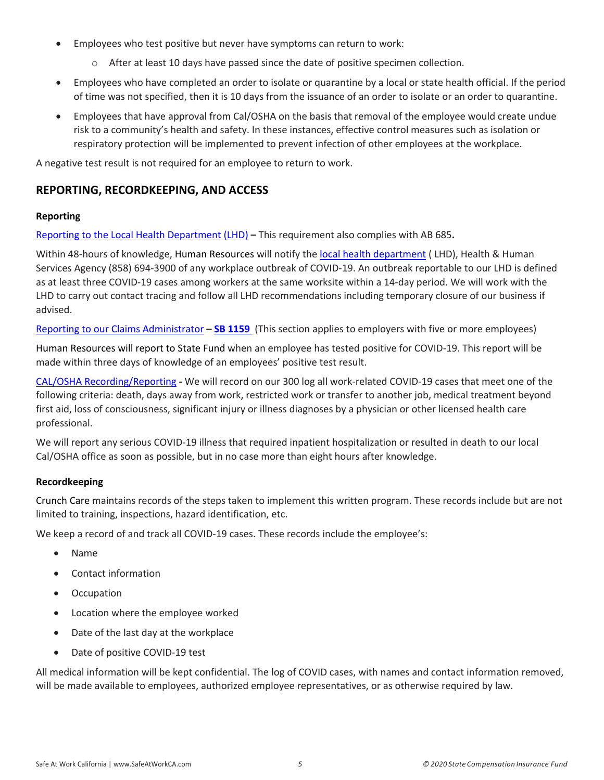- Employees who test positive but never have symptoms can return to work:
	- o After at least 10 days have passed since the date of positive specimen collection.
- Employees who have completed an order to isolate or quarantine by a local or state health official. If the period of time was not specified, then it is 10 days from the issuance of an order to isolate or an order to quarantine.
- Employees that have approval from Cal/OSHA on the basis that removal of the employee would create undue risk to a community's health and safety. In these instances, effective control measures such as isolation or respiratory protection will be implemented to prevent infection of other employees at the workplace.

A negative test result is not required for an employee to return to work.

## **REPORTING, RECORDKEEPING, AND ACCESS**

#### **Reporting**

Reporting to the Local Health Department (LHD) **–** This requirement also complies with AB 685**.** 

Within 48-hours of knowledge, Human Resources will notify the local health department (LHD), Health & Human Services Agency (858) 694-3900 of any workplace outbreak of COVID-19. An outbreak reportable to our LHD is defined as at least three COVID-19 cases among workers at the same worksite within a 14-day period. We will work with the LHD to carry out contact tracing and follow all LHD recommendations including temporary closure of our business if advised.

Reporting to our Claims Administrator **– SB 1159** (This section applies to employers with five or more employees)

Human Resources will report to State Fund when an employee has tested positive for COVID-19. This report will be made within three days of knowledge of an employees' positive test result.

CAL/OSHA Recording/Reporting **-** We will record on our 300 log all work-related COVID-19 cases that meet one of the following criteria: death, days away from work, restricted work or transfer to another job, medical treatment beyond first aid, loss of consciousness, significant injury or illness diagnoses by a physician or other licensed health care professional.

We will report any serious COVID-19 illness that required inpatient hospitalization or resulted in death to our local Cal/OSHA office as soon as possible, but in no case more than eight hours after knowledge.

#### **Recordkeeping**

Crunch Care maintains records of the steps taken to implement this written program. These records include but are not limited to training, inspections, hazard identification, etc.

We keep a record of and track all COVID-19 cases. These records include the employee's:

- Name
- Contact information
- Occupation
- Location where the employee worked
- Date of the last day at the workplace
- Date of positive COVID-19 test

All medical information will be kept confidential. The log of COVID cases, with names and contact information removed, will be made available to employees, authorized employee representatives, or as otherwise required by law.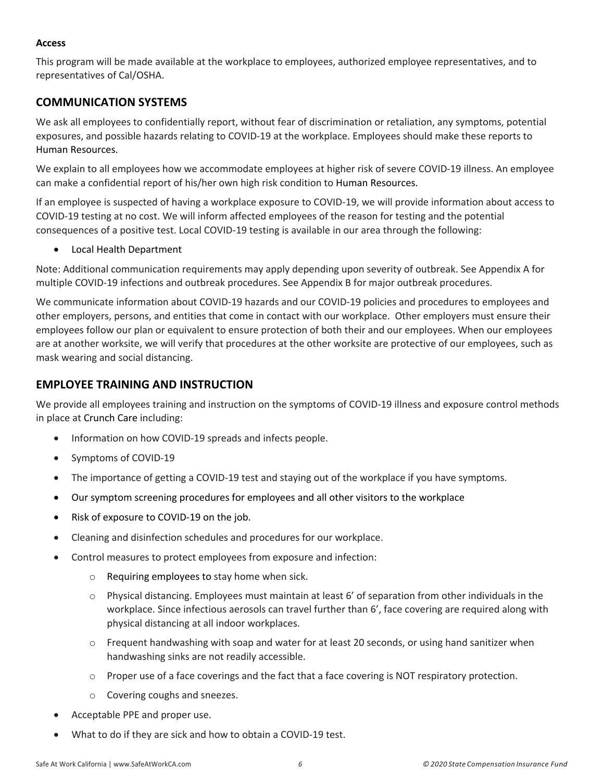#### **Access**

This program will be made available at the workplace to employees, authorized employee representatives, and to representatives of Cal/OSHA.

## **COMMUNICATION SYSTEMS**

We ask all employees to confidentially report, without fear of discrimination or retaliation, any symptoms, potential exposures, and possible hazards relating to COVID-19 at the workplace. Employees should make these reports to Human Resources.

We explain to all employees how we accommodate employees at higher risk of severe COVID-19 illness. An employee can make a confidential report of his/her own high risk condition to Human Resources.

If an employee is suspected of having a workplace exposure to COVID-19, we will provide information about access to COVID-19 testing at no cost. We will inform affected employees of the reason for testing and the potential consequences of a positive test. Local COVID-19 testing is available in our area through the following:

• Local Health Department

Note: Additional communication requirements may apply depending upon severity of outbreak. See Appendix A for multiple COVID-19 infections and outbreak procedures. See Appendix B for major outbreak procedures.

We communicate information about COVID-19 hazards and our COVID-19 policies and procedures to employees and other employers, persons, and entities that come in contact with our workplace. Other employers must ensure their employees follow our plan or equivalent to ensure protection of both their and our employees. When our employees are at another worksite, we will verify that procedures at the other worksite are protective of our employees, such as mask wearing and social distancing.

## **EMPLOYEE TRAINING AND INSTRUCTION**

We provide all employees training and instruction on the symptoms of COVID-19 illness and exposure control methods in place at Crunch Care including:

- Information on how COVID-19 spreads and infects people.
- Symptoms of COVID-19
- The importance of getting a COVID-19 test and staying out of the workplace if you have symptoms.
- Our symptom screening procedures for employees and all other visitors to the workplace
- Risk of exposure to COVID-19 on the job.
- Cleaning and disinfection schedules and procedures for our workplace.
- Control measures to protect employees from exposure and infection:
	- o Requiring employees to stay home when sick.
	- $\circ$  Physical distancing. Employees must maintain at least 6' of separation from other individuals in the workplace. Since infectious aerosols can travel further than 6', face covering are required along with physical distancing at all indoor workplaces.
	- $\circ$  Frequent handwashing with soap and water for at least 20 seconds, or using hand sanitizer when handwashing sinks are not readily accessible.
	- o Proper use of a face coverings and the fact that a face covering is NOT respiratory protection.
	- o Covering coughs and sneezes.
- Acceptable PPE and proper use.
- What to do if they are sick and how to obtain a COVID-19 test.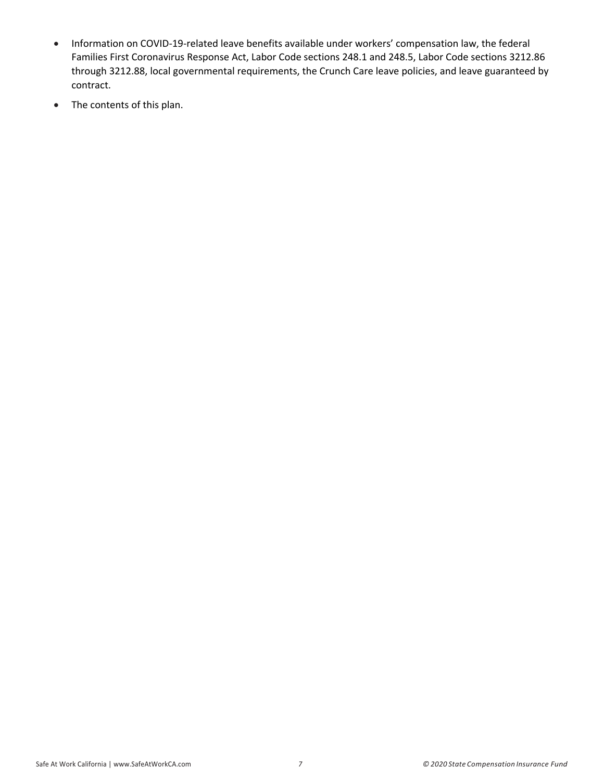- Information on COVID-19-related leave benefits available under workers' compensation law, the federal Families First Coronavirus Response Act, Labor Code sections 248.1 and 248.5, Labor Code sections 3212.86 through 3212.88, local governmental requirements, the Crunch Care leave policies, and leave guaranteed by contract.
- The contents of this plan.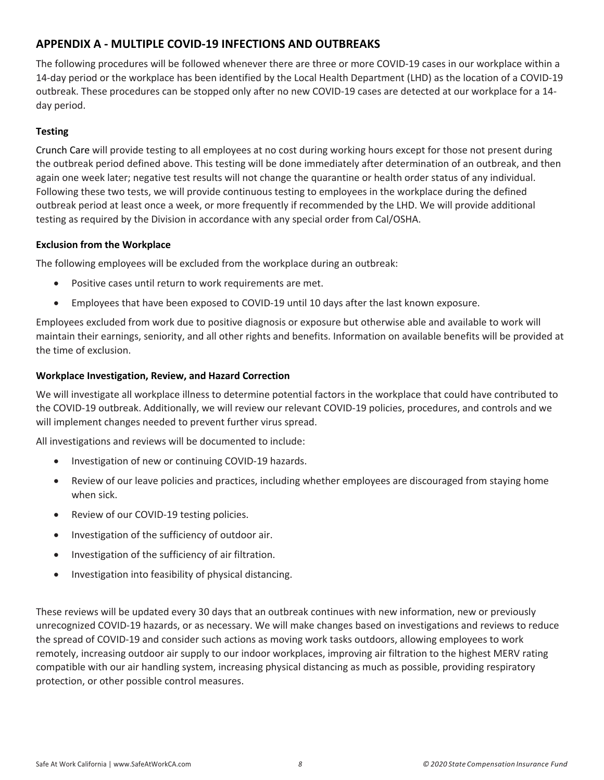## **APPENDIX A - MULTIPLE COVID-19 INFECTIONS AND OUTBREAKS**

The following procedures will be followed whenever there are three or more COVID-19 cases in our workplace within a 14-day period or the workplace has been identified by the Local Health Department (LHD) as the location of a COVID-19 outbreak. These procedures can be stopped only after no new COVID-19 cases are detected at our workplace for a 14 day period.

#### **Testing**

Crunch Care will provide testing to all employees at no cost during working hours except for those not present during the outbreak period defined above. This testing will be done immediately after determination of an outbreak, and then again one week later; negative test results will not change the quarantine or health order status of any individual. Following these two tests, we will provide continuous testing to employees in the workplace during the defined outbreak period at least once a week, or more frequently if recommended by the LHD. We will provide additional testing as required by the Division in accordance with any special order from Cal/OSHA.

#### **Exclusion from the Workplace**

The following employees will be excluded from the workplace during an outbreak:

- Positive cases until return to work requirements are met.
- Employees that have been exposed to COVID-19 until 10 days after the last known exposure.

Employees excluded from work due to positive diagnosis or exposure but otherwise able and available to work will maintain their earnings, seniority, and all other rights and benefits. Information on available benefits will be provided at the time of exclusion.

#### **Workplace Investigation, Review, and Hazard Correction**

We will investigate all workplace illness to determine potential factors in the workplace that could have contributed to the COVID-19 outbreak. Additionally, we will review our relevant COVID-19 policies, procedures, and controls and we will implement changes needed to prevent further virus spread.

All investigations and reviews will be documented to include:

- Investigation of new or continuing COVID-19 hazards.
- Review of our leave policies and practices, including whether employees are discouraged from staying home when sick.
- Review of our COVID-19 testing policies.
- Investigation of the sufficiency of outdoor air.
- Investigation of the sufficiency of air filtration.
- Investigation into feasibility of physical distancing.

These reviews will be updated every 30 days that an outbreak continues with new information, new or previously unrecognized COVID-19 hazards, or as necessary. We will make changes based on investigations and reviews to reduce the spread of COVID-19 and consider such actions as moving work tasks outdoors, allowing employees to work remotely, increasing outdoor air supply to our indoor workplaces, improving air filtration to the highest MERV rating compatible with our air handling system, increasing physical distancing as much as possible, providing respiratory protection, or other possible control measures.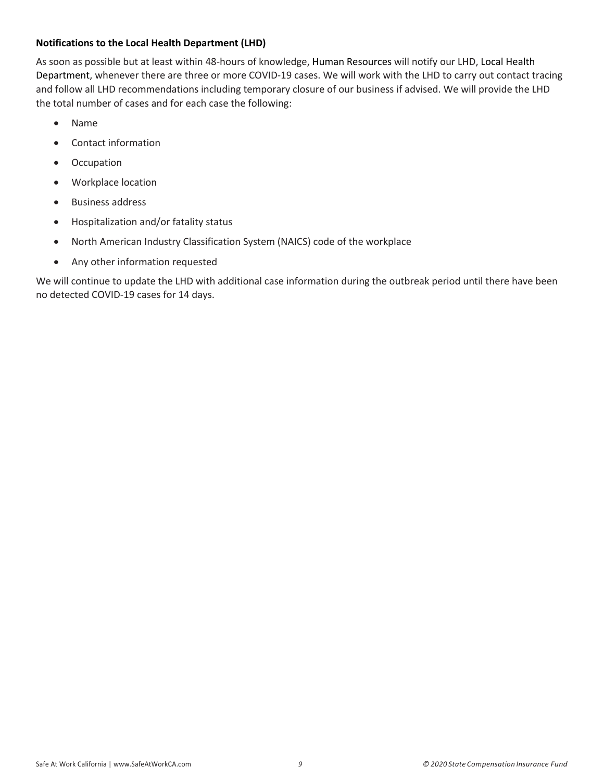## **Notifications to the Local Health Department (LHD)**

As soon as possible but at least within 48-hours of knowledge, Human Resources will notify our LHD, Local Health Department, whenever there are three or more COVID-19 cases. We will work with the LHD to carry out contact tracing and follow all LHD recommendations including temporary closure of our business if advised. We will provide the LHD the total number of cases and for each case the following:

- Name
- Contact information
- Occupation
- Workplace location
- Business address
- Hospitalization and/or fatality status
- North American Industry Classification System (NAICS) code of the workplace
- Any other information requested

We will continue to update the LHD with additional case information during the outbreak period until there have been no detected COVID-19 cases for 14 days.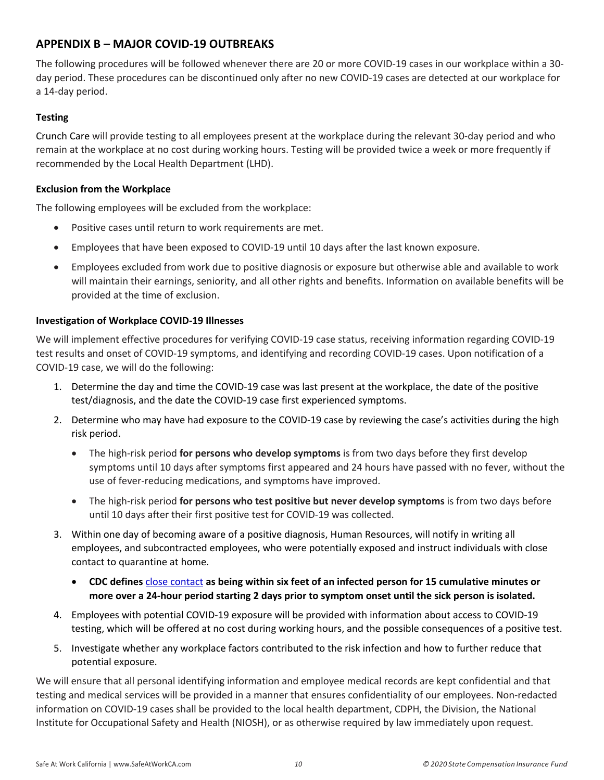## **APPENDIX B – MAJOR COVID-19 OUTBREAKS**

The following procedures will be followed whenever there are 20 or more COVID-19 cases in our workplace within a 30 day period. These procedures can be discontinued only after no new COVID-19 cases are detected at our workplace for a 14-day period.

## **Testing**

Crunch Care will provide testing to all employees present at the workplace during the relevant 30-day period and who remain at the workplace at no cost during working hours. Testing will be provided twice a week or more frequently if recommended by the Local Health Department (LHD).

#### **Exclusion from the Workplace**

The following employees will be excluded from the workplace:

- Positive cases until return to work requirements are met.
- Employees that have been exposed to COVID-19 until 10 days after the last known exposure.
- Employees excluded from work due to positive diagnosis or exposure but otherwise able and available to work will maintain their earnings, seniority, and all other rights and benefits. Information on available benefits will be provided at the time of exclusion.

## **Investigation of Workplace COVID-19 Illnesses**

We will implement effective procedures for verifying COVID-19 case status, receiving information regarding COVID-19 test results and onset of COVID-19 symptoms, and identifying and recording COVID-19 cases. Upon notification of a COVID-19 case, we will do the following:

- 1. Determine the day and time the COVID-19 case was last present at the workplace, the date of the positive test/diagnosis, and the date the COVID-19 case first experienced symptoms.
- 2. Determine who may have had exposure to the COVID-19 case by reviewing the case's activities during the high risk period.
	- The high-risk period **for persons who develop symptoms** is from two days before they first develop symptoms until 10 days after symptoms first appeared and 24 hours have passed with no fever, without the use of fever-reducing medications, and symptoms have improved.
	- The high-risk period **for persons who test positive but never develop symptoms** is from two days before until 10 days after their first positive test for COVID-19 was collected.
- 3. Within one day of becoming aware of a positive diagnosis, Human Resources, will notify in writing all employees, and subcontracted employees, who were potentially exposed and instruct individuals with close contact to quarantine at home.
	- **CDC defines** close contact **as being within six feet of an infected person for 15 cumulative minutes or more over a 24-hour period starting 2 days prior to symptom onset until the sick person is isolated.**
- 4. Employees with potential COVID-19 exposure will be provided with information about access to COVID-19 testing, which will be offered at no cost during working hours, and the possible consequences of a positive test.
- 5. Investigate whether any workplace factors contributed to the risk infection and how to further reduce that potential exposure.

We will ensure that all personal identifying information and employee medical records are kept confidential and that testing and medical services will be provided in a manner that ensures confidentiality of our employees. Non-redacted information on COVID-19 cases shall be provided to the local health department, CDPH, the Division, the National Institute for Occupational Safety and Health (NIOSH), or as otherwise required by law immediately upon request.